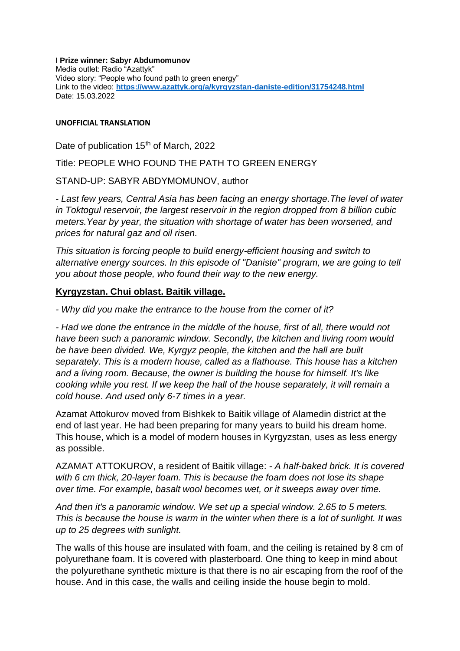**I Prize winner: Sabyr Abdumomunov** Media outlet: Radio "Azattyk" Video story: "People who found path to green energy" Link to the video: **<https://www.azattyk.org/a/kyrgyzstan-daniste-edition/31754248.html>** Date: 15.03.2022

#### **UNOFFICIAL TRANSLATION**

Date of publication 15<sup>th</sup> of March, 2022

Title: PEOPLE WHO FOUND THE PATH TO GREEN ENERGY

STAND-UP: SABYR ABDYMOMUNOV, author

- *Last few years, Central Asia has been facing an energy shortage.The level of water in Toktogul reservoir, the largest reservoir in the region dropped from 8 billion cubic meters.Year by year, the situation with shortage of water has been worsened, and prices for natural gaz and oil risen.*

*This situation is forcing people to build energy-efficient housing and switch to alternative energy sources. In this episode of "Daniste" program, we are going to tell you about those people, who found their way to the new energy.*

### **Kyrgyzstan. Chui oblast. Baitik village.**

*- Why did you make the entrance to the house from the corner of it?*

*- Had we done the entrance in the middle of the house, first of all, there would not have been such a panoramic window. Secondly, the kitchen and living room would be have been divided. We, Kyrgyz people, the kitchen and the hall are built separately. This is a modern house, called as a flathouse. This house has a kitchen and a living room. Because, the owner is building the house for himself. It's like cooking while you rest. If we keep the hall of the house separately, it will remain a cold house. And used only 6-7 times in a year.*

Azamat Attokurov moved from Bishkek to Baitik village of Alamedin district at the end of last year. He had been preparing for many years to build his dream home. This house, which is a model of modern houses in Kyrgyzstan, uses as less energy as possible.

AZAMAT ATTOKUROV, a resident of Baitik village: *- A half-baked brick. It is covered with 6 cm thick, 20-layer foam. This is because the foam does not lose its shape over time. For example, basalt wool becomes wet, or it sweeps away over time.*

*And then it's a panoramic window. We set up a special window. 2.65 to 5 meters. This is because the house is warm in the winter when there is a lot of sunlight. It was up to 25 degrees with sunlight.*

The walls of this house are insulated with foam, and the ceiling is retained by 8 cm of polyurethane foam. It is covered with plasterboard. One thing to keep in mind about the polyurethane synthetic mixture is that there is no air escaping from the roof of the house. And in this case, the walls and ceiling inside the house begin to mold.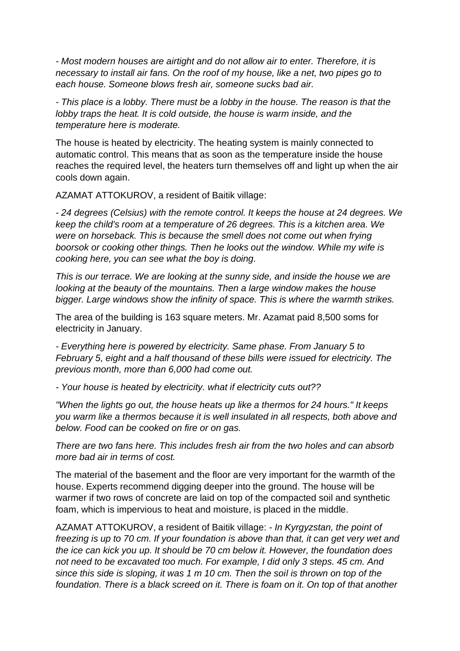*- Most modern houses are airtight and do not allow air to enter. Therefore, it is necessary to install air fans. On the roof of my house, like a net, two pipes go to each house. Someone blows fresh air, someone sucks bad air.*

*- This place is a lobby. There must be a lobby in the house. The reason is that the lobby traps the heat. It is cold outside, the house is warm inside, and the temperature here is moderate.*

The house is heated by electricity. The heating system is mainly connected to automatic control. This means that as soon as the temperature inside the house reaches the required level, the heaters turn themselves off and light up when the air cools down again.

AZAMAT ATTOKUROV, a resident of Baitik village:

*- 24 degrees (Celsius) with the remote control. It keeps the house at 24 degrees. We keep the child's room at a temperature of 26 degrees. This is a kitchen area. We were on horseback. This is because the smell does not come out when frying boorsok or cooking other things. Then he looks out the window. While my wife is cooking here, you can see what the boy is doing.*

*This is our terrace. We are looking at the sunny side, and inside the house we are looking at the beauty of the mountains. Then a large window makes the house bigger. Large windows show the infinity of space. This is where the warmth strikes.*

The area of the building is 163 square meters. Mr. Azamat paid 8,500 soms for electricity in January.

*- Everything here is powered by electricity. Same phase. From January 5 to February 5, eight and a half thousand of these bills were issued for electricity. The previous month, more than 6,000 had come out.*

*- Your house is heated by electricity. what if electricity cuts out??*

*"When the lights go out, the house heats up like a thermos for 24 hours." It keeps you warm like a thermos because it is well insulated in all respects, both above and below. Food can be cooked on fire or on gas.*

*There are two fans here. This includes fresh air from the two holes and can absorb more bad air in terms of cost.*

The material of the basement and the floor are very important for the warmth of the house. Experts recommend digging deeper into the ground. The house will be warmer if two rows of concrete are laid on top of the compacted soil and synthetic foam, which is impervious to heat and moisture, is placed in the middle.

AZAMAT ATTOKUROV, a resident of Baitik village: *- In Kyrgyzstan, the point of freezing is up to 70 cm. If your foundation is above than that, it can get very wet and the ice can kick you up. It should be 70 cm below it. However, the foundation does not need to be excavated too much. For example, I did only 3 steps. 45 cm. And since this side is sloping, it was 1 m 10 cm. Then the soil is thrown on top of the foundation. There is a black screed on it. There is foam on it. On top of that another*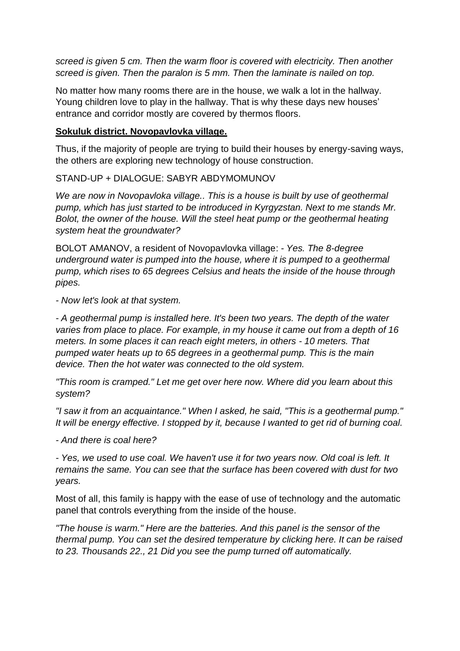*screed is given 5 cm. Then the warm floor is covered with electricity. Then another screed is given. Then the paralon is 5 mm. Then the laminate is nailed on top.*

No matter how many rooms there are in the house, we walk a lot in the hallway. Young children love to play in the hallway. That is why these days new houses' entrance and corridor mostly are covered by thermos floors.

### **Sokuluk district. Novopavlovka village.**

Thus, if the majority of people are trying to build their houses by energy-saving ways, the others are exploring new technology of house construction.

STAND-UP + DIALOGUE: SABYR ABDYMOMUNOV

*We are now in Novopavloka village.. This is a house is built by use of geothermal pump, which has just started to be introduced in Kyrgyzstan. Next to me stands Mr. Bolot, the owner of the house. Will the steel heat pump or the geothermal heating system heat the groundwater?*

BOLOT AMANOV, a resident of Novopavlovka village: *- Yes. The 8-degree underground water is pumped into the house, where it is pumped to a geothermal pump, which rises to 65 degrees Celsius and heats the inside of the house through pipes.*

*- Now let's look at that system.*

*- A geothermal pump is installed here. It's been two years. The depth of the water varies from place to place. For example, in my house it came out from a depth of 16 meters. In some places it can reach eight meters, in others - 10 meters. That pumped water heats up to 65 degrees in a geothermal pump. This is the main device. Then the hot water was connected to the old system.*

*"This room is cramped." Let me get over here now. Where did you learn about this system?*

*"I saw it from an acquaintance." When I asked, he said, "This is a geothermal pump." It will be energy effective. I stopped by it, because I wanted to get rid of burning coal.*

*- And there is coal here?*

*- Yes, we used to use coal. We haven't use it for two years now. Old coal is left. It remains the same. You can see that the surface has been covered with dust for two years.*

Most of all, this family is happy with the ease of use of technology and the automatic panel that controls everything from the inside of the house.

*"The house is warm." Here are the batteries. And this panel is the sensor of the thermal pump. You can set the desired temperature by clicking here. It can be raised to 23. Thousands 22., 21 Did you see the pump turned off automatically.*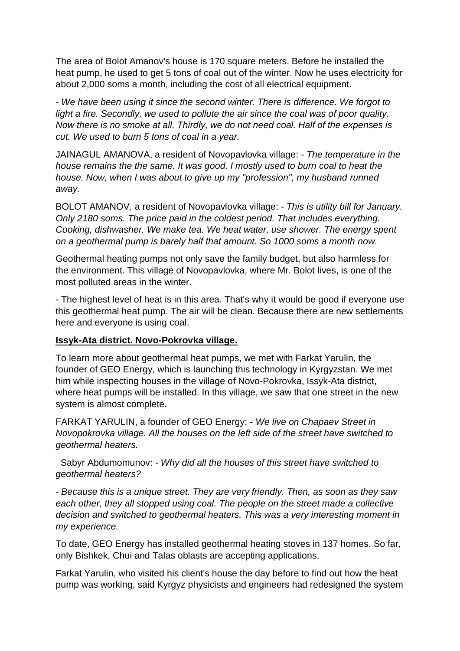The area of Bolot Amanov's house is 170 square meters. Before he installed the heat pump, he used to get 5 tons of coal out of the winter. Now he uses electricity for about 2,000 soms a month, including the cost of all electrical equipment.

*- We have been using it since the second winter. There is difference. We forgot to light a fire. Secondly, we used to pollute the air since the coal was of poor quality. Now there is no smoke at all. Thirdly, we do not need coal. Half of the expenses is cut. We used to burn 5 tons of coal in a year.*

JAINAGUL AMANOVA, a resident of Novopavlovka village: *- The temperature in the house remains the the same. It was good. I mostly used to burn coal to heat the house. Now, when I was about to give up my "profession", my husband runned away.*

BOLOT AMANOV, a resident of Novopavlovka village: *- This is utility bill for January. Only 2180 soms. The price paid in the coldest period. That includes everything. Cooking, dishwasher. We make tea. We heat water, use shower. The energy spent on a geothermal pump is barely half that amount. So 1000 soms a month now.*

Geothermal heating pumps not only save the family budget, but also harmless for the environment. This village of Novopavlovka, where Mr. Bolot lives, is one of the most polluted areas in the winter.

- The highest level of heat is in this area. That's why it would be good if everyone use this geothermal heat pump. The air will be clean. Because there are new settlements here and everyone is using coal.

### **Issyk-Ata district. Novo-Pokrovka village.**

To learn more about geothermal heat pumps, we met with Farkat Yarulin, the founder of GEO Energy, which is launching this technology in Kyrgyzstan. We met him while inspecting houses in the village of Novo-Pokrovka, Issyk-Ata district, where heat pumps will be installed. In this village, we saw that one street in the new system is almost complete.

FARKAT YARULIN, a founder of GEO Energy: *- We live on Chapaev Street in Novopokrovka village. All the houses on the left side of the street have switched to geothermal heaters.*

Sabyr Abdumomunov: *- Why did all the houses of this street have switched to geothermal heaters?*

*- Because this is a unique street. They are very friendly. Then, as soon as they saw each other, they all stopped using coal. The people on the street made a collective decision and switched to geothermal heaters. This was a very interesting moment in my experience.*

To date, GEO Energy has installed geothermal heating stoves in 137 homes. So far, only Bishkek, Chui and Talas oblasts are accepting applications.

Farkat Yarulin, who visited his client's house the day before to find out how the heat pump was working, said Kyrgyz physicists and engineers had redesigned the system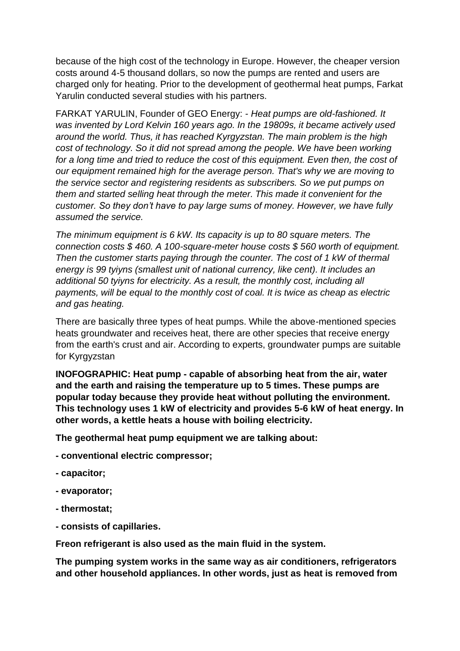because of the high cost of the technology in Europe. However, the cheaper version costs around 4-5 thousand dollars, so now the pumps are rented and users are charged only for heating. Prior to the development of geothermal heat pumps, Farkat Yarulin conducted several studies with his partners.

FARKAT YARULIN, Founder of GEO Energy: *- Heat pumps are old-fashioned. It was invented by Lord Kelvin 160 years ago. In the 19809s, it became actively used around the world. Thus, it has reached Kyrgyzstan. The main problem is the high cost of technology. So it did not spread among the people. We have been working* for a long time and tried to reduce the cost of this equipment. Even then, the cost of *our equipment remained high for the average person. That's why we are moving to the service sector and registering residents as subscribers. So we put pumps on them and started selling heat through the meter. This made it convenient for the customer. So they don't have to pay large sums of money. However, we have fully assumed the service.*

*The minimum equipment is 6 kW. Its capacity is up to 80 square meters. The connection costs \$ 460. A 100-square-meter house costs \$ 560 worth of equipment. Then the customer starts paying through the counter. The cost of 1 kW of thermal energy is 99 tyiyns (smallest unit of national currency, like cent). It includes an additional 50 tyiyns for electricity. As a result, the monthly cost, including all payments, will be equal to the monthly cost of coal. It is twice as cheap as electric and gas heating.*

There are basically three types of heat pumps. While the above-mentioned species heats groundwater and receives heat, there are other species that receive energy from the earth's crust and air. According to experts, groundwater pumps are suitable for Kyrgyzstan

**INOFOGRAPHIC: Heat pump - capable of absorbing heat from the air, water and the earth and raising the temperature up to 5 times. These pumps are popular today because they provide heat without polluting the environment. This technology uses 1 kW of electricity and provides 5-6 kW of heat energy. In other words, a kettle heats a house with boiling electricity.**

**The geothermal heat pump equipment we are talking about:**

- **- conventional electric compressor;**
- **- capacitor;**
- **- evaporator;**
- **- thermostat;**
- **- consists of capillaries.**

**Freon refrigerant is also used as the main fluid in the system.**

**The pumping system works in the same way as air conditioners, refrigerators and other household appliances. In other words, just as heat is removed from**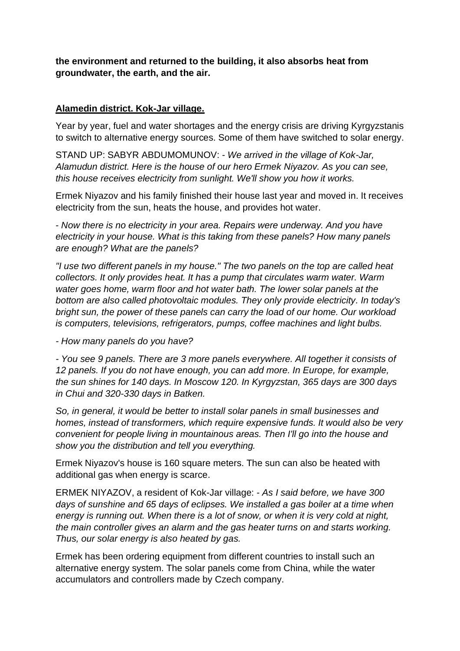**the environment and returned to the building, it also absorbs heat from groundwater, the earth, and the air.**

# **Alamedin district. Kok-Jar village.**

Year by year, fuel and water shortages and the energy crisis are driving Kyrgyzstanis to switch to alternative energy sources. Some of them have switched to solar energy.

STAND UP: SABYR ABDUMOMUNOV: *- We arrived in the village of Kok-Jar, Alamudun district. Here is the house of our hero Ermek Niyazov. As you can see, this house receives electricity from sunlight. We'll show you how it works.*

Ermek Niyazov and his family finished their house last year and moved in. It receives electricity from the sun, heats the house, and provides hot water.

- *Now there is no electricity in your area. Repairs were underway. And you have electricity in your house. What is this taking from these panels? How many panels are enough? What are the panels?*

*"I use two different panels in my house." The two panels on the top are called heat collectors. It only provides heat. It has a pump that circulates warm water. Warm water goes home, warm floor and hot water bath. The lower solar panels at the bottom are also called photovoltaic modules. They only provide electricity. In today's bright sun, the power of these panels can carry the load of our home. Our workload is computers, televisions, refrigerators, pumps, coffee machines and light bulbs.*

*- How many panels do you have?*

*- You see 9 panels. There are 3 more panels everywhere. All together it consists of 12 panels. If you do not have enough, you can add more. In Europe, for example, the sun shines for 140 days. In Moscow 120. In Kyrgyzstan, 365 days are 300 days in Chui and 320-330 days in Batken.*

*So, in general, it would be better to install solar panels in small businesses and homes, instead of transformers, which require expensive funds. It would also be very convenient for people living in mountainous areas. Then I'll go into the house and show you the distribution and tell you everything.*

Ermek Niyazov's house is 160 square meters. The sun can also be heated with additional gas when energy is scarce.

ERMEK NIYAZOV, a resident of Kok-Jar village: *- As I said before, we have 300 days of sunshine and 65 days of eclipses. We installed a gas boiler at a time when energy is running out. When there is a lot of snow, or when it is very cold at night, the main controller gives an alarm and the gas heater turns on and starts working. Thus, our solar energy is also heated by gas.*

Ermek has been ordering equipment from different countries to install such an alternative energy system. The solar panels come from China, while the water accumulators and controllers made by Czech company.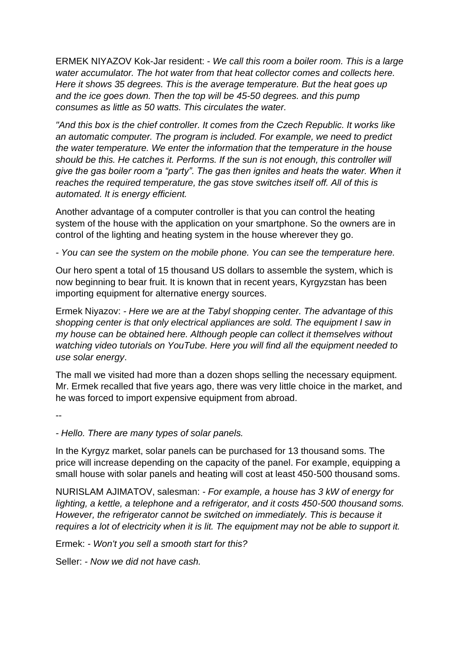ERMEK NIYAZOV Kok-Jar resident: - *We call this room a boiler room. This is a large water accumulator. The hot water from that heat collector comes and collects here. Here it shows 35 degrees. This is the average temperature. But the heat goes up and the ice goes down. Then the top will be 45-50 degrees. and this pump consumes as little as 50 watts. This circulates the water.*

*"And this box is the chief controller. It comes from the Czech Republic. It works like an automatic computer. The program is included. For example, we need to predict the water temperature. We enter the information that the temperature in the house should be this. He catches it. Performs. If the sun is not enough, this controller will give the gas boiler room a "party". The gas then ignites and heats the water. When it reaches the required temperature, the gas stove switches itself off. All of this is automated. It is energy efficient.*

Another advantage of a computer controller is that you can control the heating system of the house with the application on your smartphone. So the owners are in control of the lighting and heating system in the house wherever they go.

*- You can see the system on the mobile phone. You can see the temperature here.*

Our hero spent a total of 15 thousand US dollars to assemble the system, which is now beginning to bear fruit. It is known that in recent years, Kyrgyzstan has been importing equipment for alternative energy sources.

Ermek Niyazov: *- Here we are at the Tabyl shopping center. The advantage of this shopping center is that only electrical appliances are sold. The equipment I saw in my house can be obtained here. Although people can collect it themselves without watching video tutorials on YouTube. Here you will find all the equipment needed to use solar energy*.

The mall we visited had more than a dozen shops selling the necessary equipment. Mr. Ermek recalled that five years ago, there was very little choice in the market, and he was forced to import expensive equipment from abroad.

--

*- Hello. There are many types of solar panels.*

In the Kyrgyz market, solar panels can be purchased for 13 thousand soms. The price will increase depending on the capacity of the panel. For example, equipping a small house with solar panels and heating will cost at least 450-500 thousand soms.

NURISLAM AJIMATOV, salesman: *- For example, a house has 3 kW of energy for lighting, a kettle, a telephone and a refrigerator, and it costs 450-500 thousand soms. However, the refrigerator cannot be switched on immediately. This is because it requires a lot of electricity when it is lit. The equipment may not be able to support it.*

Ermek: *- Won't you sell a smooth start for this?*

Seller: *- Now we did not have cash.*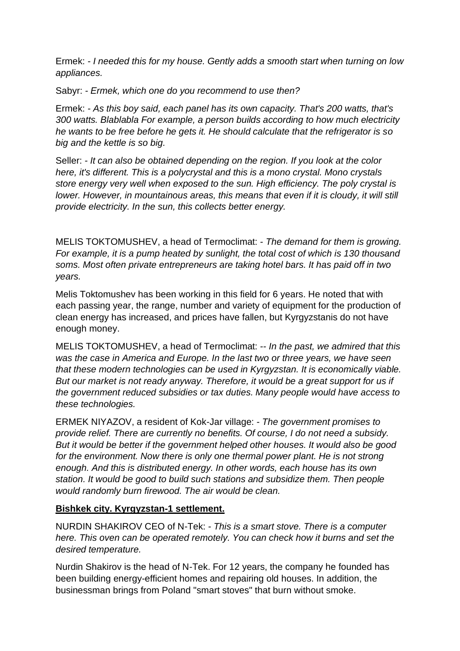Ermek: *- I needed this for my house. Gently adds a smooth start when turning on low appliances.*

Sabyr: *- Ermek, which one do you recommend to use then?*

Ermek: *- As this boy said, each panel has its own capacity. That's 200 watts, that's 300 watts. Blablabla For example, a person builds according to how much electricity he wants to be free before he gets it. He should calculate that the refrigerator is so big and the kettle is so big.*

Seller: *- It can also be obtained depending on the region. If you look at the color here, it's different. This is a polycrystal and this is a mono crystal. Mono crystals store energy very well when exposed to the sun. High efficiency. The poly crystal is lower. However, in mountainous areas, this means that even if it is cloudy, it will still provide electricity. In the sun, this collects better energy.*

MELIS TOKTOMUSHEV, a head of Termoclimat: *- The demand for them is growing. For example, it is a pump heated by sunlight, the total cost of which is 130 thousand soms. Most often private entrepreneurs are taking hotel bars. It has paid off in two years.*

Melis Toktomushev has been working in this field for 6 years. He noted that with each passing year, the range, number and variety of equipment for the production of clean energy has increased, and prices have fallen, but Kyrgyzstanis do not have enough money.

MELIS TOKTOMUSHEV, a head of Termoclimat: *-- In the past, we admired that this was the case in America and Europe. In the last two or three years, we have seen that these modern technologies can be used in Kyrgyzstan. It is economically viable. But our market is not ready anyway. Therefore, it would be a great support for us if the government reduced subsidies or tax duties. Many people would have access to these technologies.*

ERMEK NIYAZOV, a resident of Kok-Jar village: *- The government promises to provide relief. There are currently no benefits. Of course, I do not need a subsidy. But it would be better if the government helped other houses. It would also be good*  for the environment. Now there is only one thermal power plant. He is not strong *enough. And this is distributed energy. In other words, each house has its own station. It would be good to build such stations and subsidize them. Then people would randomly burn firewood. The air would be clean.*

## **Bishkek city. Kyrgyzstan-1 settlement.**

NURDIN SHAKIROV CEO of N-Tek: *- This is a smart stove. There is a computer here. This oven can be operated remotely. You can check how it burns and set the desired temperature.*

Nurdin Shakirov is the head of N-Tek. For 12 years, the company he founded has been building energy-efficient homes and repairing old houses. In addition, the businessman brings from Poland "smart stoves" that burn without smoke.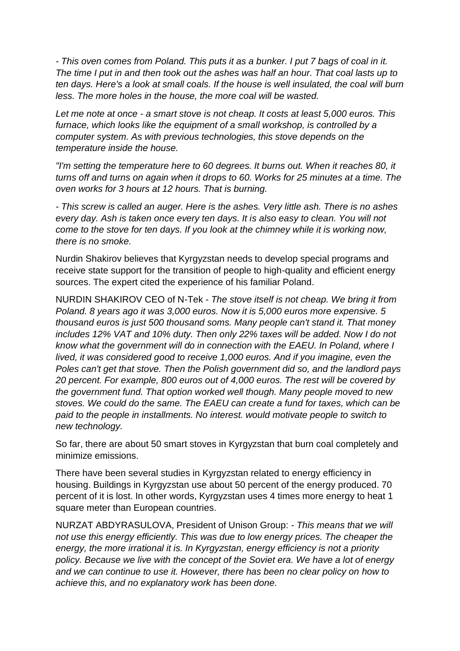*- This oven comes from Poland. This puts it as a bunker. I put 7 bags of coal in it. The time I put in and then took out the ashes was half an hour. That coal lasts up to ten days. Here's a look at small coals. If the house is well insulated, the coal will burn less. The more holes in the house, the more coal will be wasted.*

*Let me note at once - a smart stove is not cheap. It costs at least 5,000 euros. This furnace, which looks like the equipment of a small workshop, is controlled by a computer system. As with previous technologies, this stove depends on the temperature inside the house.*

*"I'm setting the temperature here to 60 degrees. It burns out. When it reaches 80, it turns off and turns on again when it drops to 60. Works for 25 minutes at a time. The oven works for 3 hours at 12 hours. That is burning.*

*- This screw is called an auger. Here is the ashes. Very little ash. There is no ashes every day. Ash is taken once every ten days. It is also easy to clean. You will not come to the stove for ten days. If you look at the chimney while it is working now, there is no smoke.*

Nurdin Shakirov believes that Kyrgyzstan needs to develop special programs and receive state support for the transition of people to high-quality and efficient energy sources. The expert cited the experience of his familiar Poland.

NURDIN SHAKIROV CEO of N-Tek - *The stove itself is not cheap. We bring it from Poland. 8 years ago it was 3,000 euros. Now it is 5,000 euros more expensive. 5 thousand euros is just 500 thousand soms. Many people can't stand it. That money includes 12% VAT and 10% duty. Then only 22% taxes will be added. Now I do not know what the government will do in connection with the EAEU. In Poland, where I lived, it was considered good to receive 1,000 euros. And if you imagine, even the Poles can't get that stove. Then the Polish government did so, and the landlord pays 20 percent. For example, 800 euros out of 4,000 euros. The rest will be covered by the government fund. That option worked well though. Many people moved to new stoves. We could do the same. The EAEU can create a fund for taxes, which can be paid to the people in installments. No interest. would motivate people to switch to new technology.*

So far, there are about 50 smart stoves in Kyrgyzstan that burn coal completely and minimize emissions.

There have been several studies in Kyrgyzstan related to energy efficiency in housing. Buildings in Kyrgyzstan use about 50 percent of the energy produced. 70 percent of it is lost. In other words, Kyrgyzstan uses 4 times more energy to heat 1 square meter than European countries.

NURZAT ABDYRASULOVA, President of Unison Group: *- This means that we will not use this energy efficiently. This was due to low energy prices. The cheaper the energy, the more irrational it is. In Kyrgyzstan, energy efficiency is not a priority policy. Because we live with the concept of the Soviet era. We have a lot of energy and we can continue to use it. However, there has been no clear policy on how to achieve this, and no explanatory work has been done.*